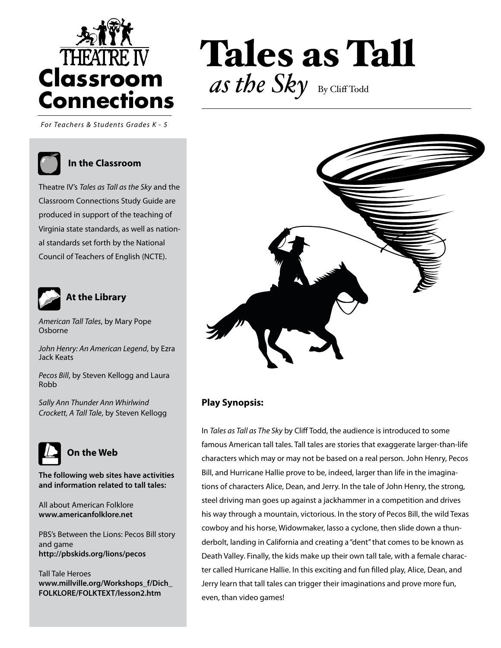

*For teachers and students grades K - 5 For Teachers & Students Grades K - 5*

#### **In the Classroom**

Theatre IV's *Tales as Tall as the Sky* and the Classroom Connections Study Guide are produced in support of the teaching of Virginia state standards, as well as national standards set forth by the National Council of Teachers of English (NCTE).



#### **At the Library**

*American Tall Tales*, by Mary Pope Osborne

*John Henry: An American Legend*, by Ezra Jack Keats

*Pecos Bill*, by Steven Kellogg and Laura Robb

*Sally Ann Thunder Ann Whirlwind Crockett, A Tall Tale*, by Steven Kellogg



**The following web sites have activities and information related to tall tales:**

All about American Folklore **www.americanfolklore.net**

PBS's Between the Lions: Pecos Bill story and game **http://pbskids.org/lions/pecos**

Tall Tale Heroes **www.millville.org/Workshops\_f/Dich\_ FOLKLORE/FOLKTEXT/lesson2.htm**

# Tales as Tall as the Sky By Cliff Todd



#### **Play Synopsis:**

We Set the Stage for Learning™ Theatre IV, Richmond, VA, Richmond, VA, Richmond, VA, Richmond, VA, Richmond, VA

In *Tales as Tall as The Sky* by Cliff Todd, the audience is introduced to some famous American tall tales. Tall tales are stories that exaggerate larger-than-life characters which may or may not be based on a real person. John Henry, Pecos Bill, and Hurricane Hallie prove to be, indeed, larger than life in the imaginations of characters Alice, Dean, and Jerry. In the tale of John Henry, the strong, steel driving man goes up against a jackhammer in a competition and drives his way through a mountain, victorious. In the story of Pecos Bill, the wild Texas cowboy and his horse, Widowmaker, lasso a cyclone, then slide down a thunderbolt, landing in California and creating a "dent" that comes to be known as Death Valley. Finally, the kids make up their own tall tale, with a female character called Hurricane Hallie. In this exciting and fun filled play, Alice, Dean, and Jerry learn that tall tales can trigger their imaginations and prove more fun, even, than video games!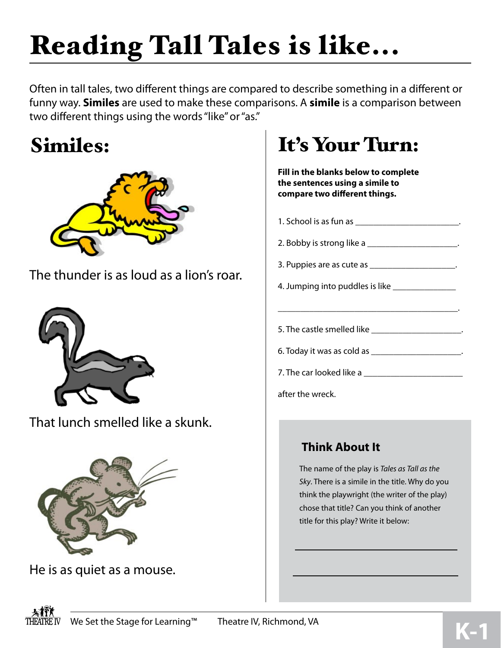# Reading Tall Tales is like...

Often in tall tales, two different things are compared to describe something in a different or funny way. **Similes** are used to make these comparisons. A **simile** is a comparison between two different things using the words "like" or "as."

## Similes:



The thunder is as loud as a lion's roar.



That lunch smelled like a skunk.



He is as quiet as a mouse.

## It's Your Turn:

**Fill in the blanks below to complete the sentences using a simile to compare two different things.**

| 1. School is as fun as ___________________________.                             |
|---------------------------------------------------------------------------------|
| 2. Bobby is strong like a ______________________.                               |
| 3. Puppies are as cute as ____________________.                                 |
| 4. Jumping into puddles is like ________________                                |
| the contract of the contract of the contract of the contract of the contract of |
| 5. The castle smelled like ______________________.                              |
| 6. Today it was as cold as _______________________.                             |
|                                                                                 |
| after the wreck.                                                                |

#### **Think About It**

The name of the play is *Tales as Tall as the Sky*. There is a simile in the title. Why do you think the playwright (the writer of the play) chose that title? Can you think of another title for this play? Write it below:

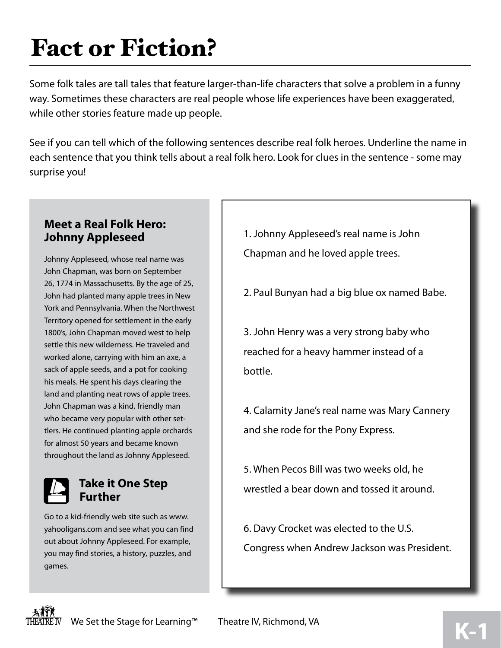# Fact or Fiction?

Some folk tales are tall tales that feature larger-than-life characters that solve a problem in a funny way. Sometimes these characters are real people whose life experiences have been exaggerated, while other stories feature made up people.

See if you can tell which of the following sentences describe real folk heroes. Underline the name in each sentence that you think tells about a real folk hero. Look for clues in the sentence - some may surprise you!

#### **Meet a Real Folk Hero: Johnny Appleseed**

Johnny Appleseed, whose real name was John Chapman, was born on September 26, 1774 in Massachusetts. By the age of 25, John had planted many apple trees in New York and Pennsylvania. When the Northwest Territory opened for settlement in the early 1800's, John Chapman moved west to help settle this new wilderness. He traveled and worked alone, carrying with him an axe, a sack of apple seeds, and a pot for cooking his meals. He spent his days clearing the land and planting neat rows of apple trees. John Chapman was a kind, friendly man who became very popular with other settlers. He continued planting apple orchards for almost 50 years and became known throughout the land as Johnny Appleseed.



#### **Take it One Step Further**

Go to a kid-friendly web site such as www. yahooligans.com and see what you can find out about Johnny Appleseed. For example, you may find stories, a history, puzzles, and games.

1. Johnny Appleseed's real name is John Chapman and he loved apple trees.

2. Paul Bunyan had a big blue ox named Babe.

3. John Henry was a very strong baby who reached for a heavy hammer instead of a bottle.

4. Calamity Jane's real name was Mary Cannery and she rode for the Pony Express.

5. When Pecos Bill was two weeks old, he wrestled a bear down and tossed it around.

6. Davy Crocket was elected to the U.S. Congress when Andrew Jackson was President.

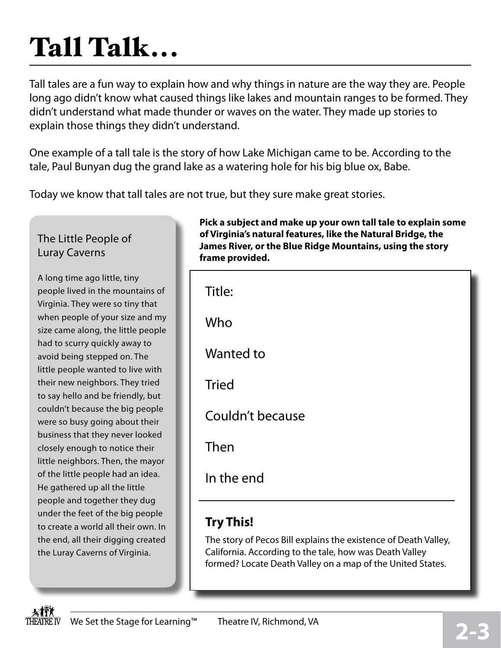# **2-3**

of the little people had an idea. He gathered up all the little people and together they dug under the feet of the big people to create a world all their own. In the end, all their digging created

**Pick a subject and make up your own tall tale to explain some of Virginia's natural features, like the Natural Bridge, the James River, or the Blue Ridge Mountains, using the story frame provided.**

# Tall Talk...

Tall tales are a fun way to explain how and why things in nature are the way they are. People long ago didn't know what caused things like lakes and mountain ranges to be formed. They didn't understand what made thunder or waves on the water. They made up stories to explain those things they didn't understand.

One example of a tall tale is the story of how Lake Michigan came to be. According to the tale, Paul Bunyan dug the grand lake as a watering hole for his big blue ox, Babe.

Today we know that tall tales are not true, but they sure make great stories.

### The Little People of Luray Caverns

A long time ago little, tiny people lived in the mountains of Virginia. They were so tiny that when people of your size and my size came along, the little people had to scurry quickly away to avoid being stepped on. The little people wanted to live with their new neighbors. They tried to say hello and be friendly, but couldn't because the big people were so busy going about their business that they never looked closely enough to notice their little neighbors. Then, the mayor the Luray Caverns of Virginia.

| Title:           |
|------------------|
| Who              |
| Wanted to        |
| <b>Tried</b>     |
| Couldn't because |
| Then             |
| In the end       |

### **Try This!**

The story of Pecos Bill explains the existence of Death Valley, California. According to the tale, how was Death Valley formed? Locate Death Valley on a map of the United States.

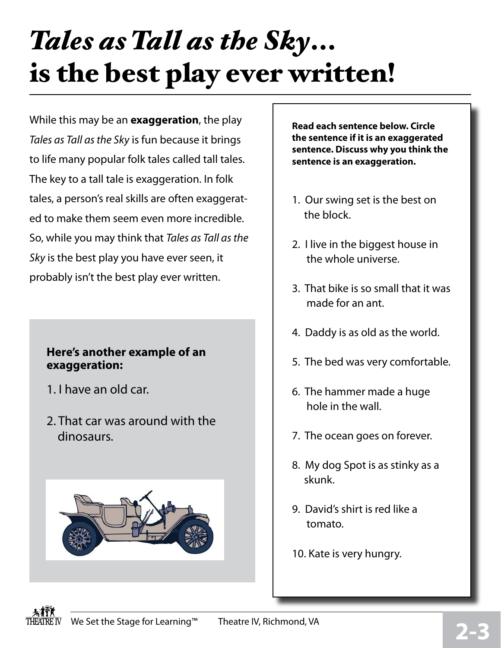# *Tales as Tall as the Sky*... is the best play ever written!

While this may be an **exaggeration**, the play *Tales as Tall as the Sky* is fun because it brings to life many popular folk tales called tall tales. The key to a tall tale is exaggeration. In folk tales, a person's real skills are often exaggerated to make them seem even more incredible. So, while you may think that *Tales as Tall as the Sky* is the best play you have ever seen, it probably isn't the best play ever written.

#### **Here's another example of an exaggeration:**

- 1. I have an old car.
- 2. That car was around with the dinosaurs.



**Read each sentence below. Circle the sentence if it is an exaggerated sentence. Discuss why you think the sentence is an exaggeration.** 

- 1. Our swing set is the best on the block.
- 2. I live in the biggest house in the whole universe.
- 3. That bike is so small that it was made for an ant.
- 4. Daddy is as old as the world.
- 5. The bed was very comfortable.
- 6. The hammer made a huge hole in the wall.
- 7. The ocean goes on forever.
- 8. My dog Spot is as stinky as a skunk.
- 9. David's shirt is red like a tomato.
- 10. Kate is very hungry.

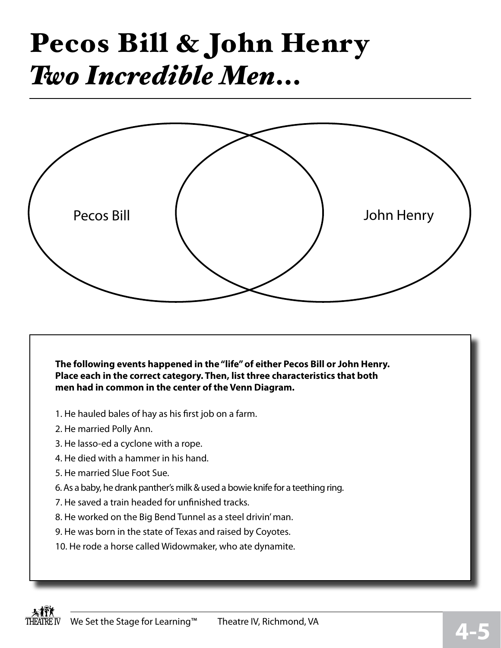# Pecos Bill & John Henry *Two Incredible Men*...



**The following events happened in the "life" of either Pecos Bill or John Henry. Place each in the correct category. Then, list three characteristics that both men had in common in the center of the Venn Diagram.**

- 1. He hauled bales of hay as his first job on a farm.
- 2. He married Polly Ann.
- 3. He lasso-ed a cyclone with a rope.
- 4. He died with a hammer in his hand.
- 5. He married Slue Foot Sue.
- 6. As a baby, he drank panther's milk & used a bowie knife for a teething ring.
- 7. He saved a train headed for unfinished tracks.
- 8. He worked on the Big Bend Tunnel as a steel drivin' man.
- 9. He was born in the state of Texas and raised by Coyotes.
- 10. He rode a horse called Widowmaker, who ate dynamite.

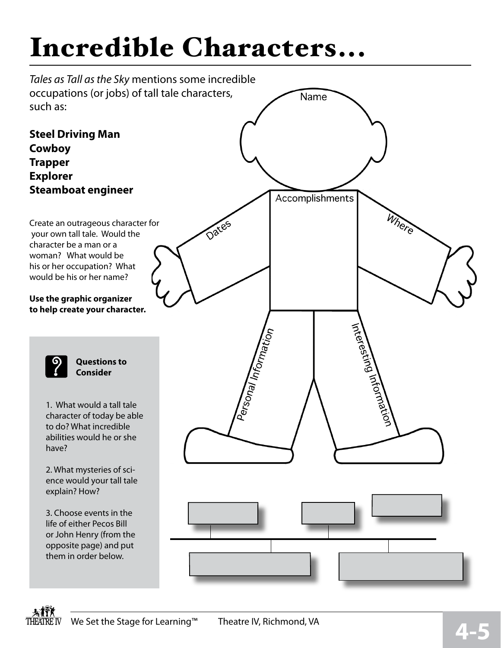# Incredible Characters...



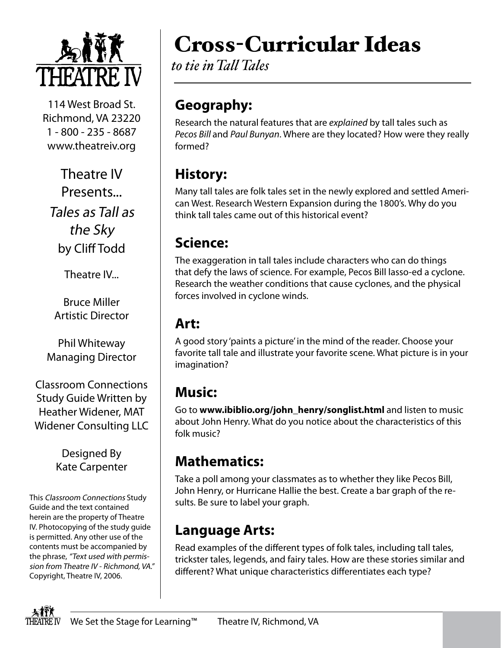

114 West Broad St. Richmond, VA 23220 1 - 800 - 235 - 8687 www.theatreiv.org

Theatre IV Presents... Tales as Tall as the Sky by Cliff Todd

Theatre IV...

Bruce Miller Artistic Director

Phil Whiteway Managing Director

Classroom Connections Study Guide Written by Heather Widener, MAT Widener Consulting LLC

> Designed By Kate Carpenter

This Classroom Connections Study Guide and the text contained herein are the property of Theatre IV. Photocopying of the study guide is permitted. Any other use of the contents must be accompanied by the phrase, "Text used with permission from Theatre IV - Richmond, VA." Copyright, Theatre IV, 2006.

# Cross-Curricular Ideas

*to tie in Tall Tales*

### **Geography:**

Research the natural features that are *explained* by tall tales such as *Pecos Bill* and *Paul Bunyan*. Where are they located? How were they really formed?

### **History:**

Many tall tales are folk tales set in the newly explored and settled American West. Research Western Expansion during the 1800's. Why do you think tall tales came out of this historical event?

### **Science:**

The exaggeration in tall tales include characters who can do things that defy the laws of science. For example, Pecos Bill lasso-ed a cyclone. Research the weather conditions that cause cyclones, and the physical forces involved in cyclone winds.

### **Art:**

A good story 'paints a picture' in the mind of the reader. Choose your favorite tall tale and illustrate your favorite scene. What picture is in your imagination?

### **Music:**

Go to **www.ibiblio.org/john\_henry/songlist.html** and listen to music about John Henry. What do you notice about the characteristics of this folk music?

### **Mathematics:**

Take a poll among your classmates as to whether they like Pecos Bill, John Henry, or Hurricane Hallie the best. Create a bar graph of the results. Be sure to label your graph.

### **Language Arts:**

Read examples of the different types of folk tales, including tall tales, trickster tales, legends, and fairy tales. How are these stories similar and different? What unique characteristics differentiates each type?